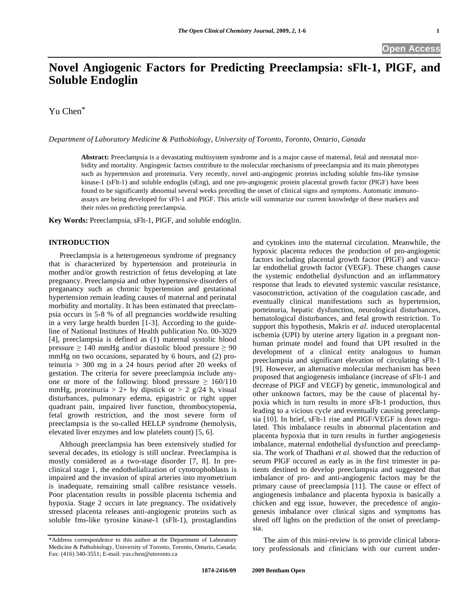# **Novel Angiogenic Factors for Predicting Preeclampsia: sFlt-1, PlGF, and Soluble Endoglin**

Yu Chen\*

*Department of Laboratory Medicine & Pathobiology, University of Toronto, Toronto, Ontario, Canada* 

**Abstract:** Preeclampsia is a devastating multisystem syndrome and is a major cause of maternal, fetal and neonatal morbidity and mortality. Angiogenic factors contribute to the molecular mechanisms of preeclampsia and its main phenotypes such as hypertension and proteinuria. Very recently, novel anti-angiogenic proteins including soluble fms-like tyrosine kinase-1 (sFlt-1) and soluble endoglin (sEng), and one pro-angiogenic protein placental growth factor (PlGF) have been found to be significantly abnormal several weeks preceding the onset of clinical signs and symptoms. Automatic immunoassays are being developed for sFlt-1 and PlGF. This article will summarize our current knowledge of these markers and their roles on predicting preeclampsia.

**Key Words:** Preeclampsia, sFlt-1, PlGF, and soluble endoglin.

## **INTRODUCTION**

 Preeclampsia is a heterogeneous syndrome of pregnancy that is characterized by hypertension and proteinuria in mother and/or growth restriction of fetus developing at late pregnancy. Preeclampsia and other hypertensive disorders of preganancy such as chronic hypertension and gestational hypertension remain leading causes of maternal and perinatal morbidity and mortality. It has been estimated that preeclampsia occurs in 5-8 % of all pregnancies worldwide resulting in a very large health burden [1-3]. According to the guideline of National Institutes of Health publication No. 00-3029 [4], preeclampsia is defined as (1) maternal systolic blood pressure  $\geq 140$  mmHg and/or diastolic blood pressure  $\geq 90$ mmHg on two occasions, separated by 6 hours, and (2) proteinuria > 300 mg in a 24 hours period after 20 weeks of gestation. The criteria for severe preeclampsia include anyone or more of the following: blood pressure  $\geq 160/110$ mmHg, proteinuria > 2+ by dipstick or > 2 g/24 h, visual disturbances, pulmonary edema, epigastric or right upper quadrant pain, impaired liver function, thrombocytopenia, fetal growth restriction, and the most severe form of preeclampsia is the so-called HELLP syndrome (hemolysis, elevated liver enzymes and low platelets count) [5, 6].

 Although preeclampsia has been extensively studied for several decades, its etiology is still unclear. Preeclampisa is mostly considered as a two-stage disorder [7, 8]. In preclinical stage 1, the endothelialization of cytotrophoblasts is impaired and the invasion of spiral arteries into myometrium is inadequate, remaining small calibre resistance vessels. Poor placentation results in possible placenta ischemia and hypoxia. Stage 2 occurs in late pregnancy. The oxidatively stressed placenta releases anti-angiogenic proteins such as soluble fms-like tyrosine kinase-1 (sFlt-1), prostaglandins

and cytokines into the maternal circulation. Meanwhile, the hypoxic placenta reduces the production of pro-angiogenic factors including placental growth factor (PlGF) and vascular endothelial growth factor (VEGF). These changes cause the systemic endothelial dysfunction and an inflammatory response that leads to elevated systemic vascular resistance, vasoconstriction, activation of the coagulation cascade, and eventually clinical manifestations such as hypertension, porteinuria, hepatic dysfunction, neurological disturbances, hematological disturbances, and fetal growth restriction. To support this hypothesis, Makris *et al*. induced uteroplacental ischemia (UPI) by uterine artery ligation in a pregnant nonhuman primate model and found that UPI resulted in the development of a clinical entity analogous to human preeclampsia and significant elevation of circulating sFlt-1 [9]. However, an alternative molecular mechanism has been proposed that angiogenesis imbalance (increase of sFlt-1 and decrease of PlGF and VEGF) by genetic, immunological and other unknown factors, may be the cause of placental hypoxia which in turn results in more sFlt-1 production, thus leading to a vicious cycle and eventually causing preeclampsia [10]. In brief, sFlt-1 rise and PlGF/VEGF is down regulated. This imbalance results in abnormal placentation and placenta hypoxia that in turn results in further angiogenesis imbalance, maternal endothelial dysfunction and preeclampsia. The work of Thadhani *et al*. showed that the reduction of serum PlGF occured as early as in the first trimester in patients destined to develop preeclampsia and suggested that imbalance of pro- and anti-angiogenic factors may be the primary cause of preeclampsia [11]. The cause or effect of angiogenesis imbalance and placenta hypoxia is basically a chicken and egg issue, however, the precedence of angiogenesis imbalance over clinical signs and symptoms has shred off lights on the prediction of the onset of preeclampsia.

 The aim of this mini-review is to provide clinical laboratory professionals and clinicians with our current under-

<sup>\*</sup>Address correspondence to this author at the Department of Laboratory Medicine & Pathobiology, University of Toronto, Toronto, Ontario, Canada; Fax: (416) 340-3551; E-mail: yus.chen@utoronto.ca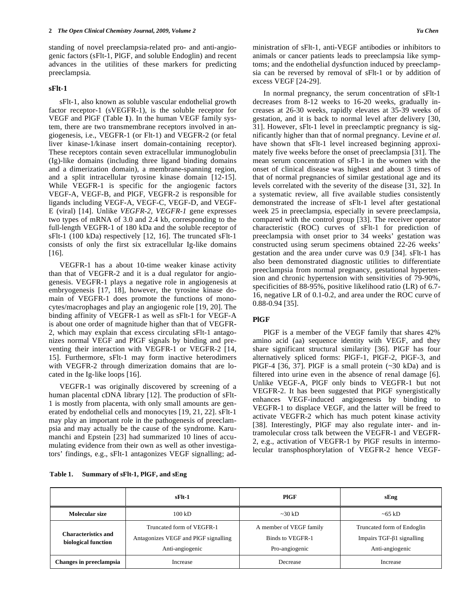standing of novel preeclampsia-related pro- and anti-angiogenic factors (sFlt-1, PlGF, and soluble Endoglin) and recent advances in the utilities of these markers for predicting preeclampsia.

### **sFlt-1**

 sFlt-1, also known as soluble vascular endothelial growth factor receptor-1 (sVEGFR-1), is the soluble receptor for VEGF and PlGF (Table **1**). In the human VEGF family system, there are two transmembrane receptors involved in angiogenesis, i.e., VEGFR-1 (or Flt-1) and VEGFR-2 (or fetal liver kinase-1/kinase insert domain-containing receptor). These receptors contain seven extracellular immunoglobulin (Ig)-like domains (including three ligand binding domains and a dimerization domain), a membrane-spanning region, and a split intracellular tyrosine kinase domain [12-15]. While VEGFR-1 is specific for the angiogenic factors VEGF-A, VEGF-B, and PlGF, VEGFR-2 is responsible for ligands including VEGF-A, VEGF-C, VEGF-D, and VEGF-E (viral) [14]. Unlike *VEGFR-2*, *VEGFR-1* gene expresses two types of mRNA of 3.0 and 2.4 kb, corresponding to the full-length VEGFR-1 of 180 kDa and the soluble receptor of sFlt-1 (100 kDa) respectively [12, 16]. The truncated sFlt-1 consists of only the first six extracellular Ig-like domains [16].

 VEGFR-1 has a about 10-time weaker kinase activity than that of VEGFR-2 and it is a dual regulator for angiogenesis. VEGFR-1 plays a negative role in angiogenesis at embryogenesis [17, 18], however, the tyrosine kinase domain of VEGFR-1 does promote the functions of monocytes/macrophages and play an angiogenic role [19, 20]. The binding affinity of VEGFR-1 as well as sFlt-1 for VEGF-A is about one order of magnitude higher than that of VEGFR-2, which may explain that excess circulating sFlt-1 antagonizes normal VEGF and PlGF signals by binding and preventing their interaction with VEGFR-1 or VEGFR-2 [14, 15]. Furthermore, sFlt-1 may form inactive heterodimers with VEGFR-2 through dimerization domains that are located in the Ig-like loops [16].

 VEGFR-1 was originally discovered by screening of a human placental cDNA library [12]. The production of sFlt-1 is mostly from placenta, with only small amounts are generated by endothelial cells and monocytes [19, 21, 22]. sFlt-1 may play an important role in the pathogenesis of preeclampsia and may actually be the cause of the syndrome. Karumanchi and Epstein [23] had summarized 10 lines of accumulating evidence from their own as well as other investigators' findings, e.g., sFlt-1 antagonizes VEGF signalling; administration of sFlt-1, anti-VEGF antibodies or inhibitors to animals or cancer patients leads to preeclampsia like symptoms; and the endothelial dysfunction induced by preeclampsia can be reversed by removal of sFlt-1 or by addition of excess VEGF [24-29].

 In normal pregnancy, the serum concentration of sFlt-1 decreases from 8-12 weeks to 16-20 weeks, gradually increases at 26-30 weeks, rapidly elevates at 35-39 weeks of gestation, and it is back to normal level after delivery [30, 31]. However, sFlt-1 level in preeclamptic pregnancy is significantly higher than that of normal pregnancy. Levine *et al*. have shown that sFlt-1 level increased beginning approximately five weeks before the onset of preeclampsia [31]. The mean serum concentration of sFlt-1 in the women with the onset of clinical disease was highest and about 3 times of that of normal pregnancies of similar gestational age and its levels correlated with the severity of the disease [31, 32]. In a systematic review, all five available studies consistently demonstrated the increase of sFlt-1 level after gestational week 25 in preeclampsia, especially in severe preeclampsia, compared with the control group [33]. The receiver operator characteristic (ROC) curves of sFlt-1 for prediction of preeclampsia with onset prior to 34 weeks' gestation was constructed using serum specimens obtained 22-26 weeks' gestation and the area under curve was 0.9 [34]. sFlt-1 has also been demonstrated diagnostic utilities to differentiate preeclampsia from normal pregnancy, gestational hypertension and chronic hypertension with sensitivities of 79-90%, specificities of 88-95%, positive likelihood ratio (LR) of 6.7- 16, negative LR of 0.1-0.2, and area under the ROC curve of 0.88-0.94 [35].

# **PlGF**

 PlGF is a member of the VEGF family that shares 42% amino acid (aa) sequence identity with VEGF, and they share significant structural similarity [36]. PlGF has four alternatively spliced forms: PlGF-1, PlGF-2, PlGF-3, and PlGF-4 [36, 37]. PlGF is a small protein  $(\sim 30 \text{ kDa})$  and is filtered into urine even in the absence of renal damage [6]. Unlike VEGF-A, PlGF only binds to VEGFR-1 but not VEGFR-2. It has been suggested that PlGF synergistically enhances VEGF-induced angiogenesis by binding to VEGFR-1 to displace VEGF, and the latter will be freed to activate VEGFR-2 which has much potent kinase activity [38]. Interestingly, PlGF may also regulate inter- and intramolecular cross talk between the VEGFR-1 and VEGFR-2, e.g., activation of VEGFR-1 by PlGF results in intermolecular transphosphorylation of VEGFR-2 hence VEGF-

**Table 1. Summary of sFlt-1, PlGF, and sEng** 

|                                            | $sF1t-1$                                                                             | <b>PIGF</b>                                                   | sEng                                                                               |  |
|--------------------------------------------|--------------------------------------------------------------------------------------|---------------------------------------------------------------|------------------------------------------------------------------------------------|--|
| Molecular size                             | $100 \text{ kD}$                                                                     | $\approx 30 \text{ kD}$                                       | $\sim 65$ kD                                                                       |  |
| Characteristics and<br>biological function | Truncated form of VEGFR-1<br>Antagonizes VEGF and PIGF signalling<br>Anti-angiogenic | A member of VEGF family<br>Binds to VEGFR-1<br>Pro-angiogenic | Truncated form of Endoglin<br>Impairs TGF- $\beta$ 1 signalling<br>Anti-angiogenic |  |
| Changes in preeclampsia                    | Decrease<br><i><u>Increase</u></i><br>Increase                                       |                                                               |                                                                                    |  |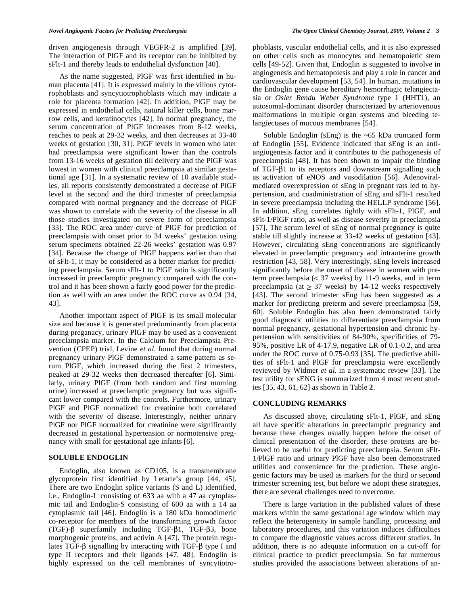driven angiogenesis through VEGFR-2 is amplified [39]. The interaction of PlGF and its receptor can be inhibited by sFlt-1 and thereby leads to endothelial dysfunction [40].

 As the name suggested, PlGF was first identified in human placenta [41]. It is expressed mainly in the villous cytotrophoblasts and syncytiotrophoblasts which may indicate a role for placenta formation [42]. In addition, PlGF may be expressed in endothelial cells, natural killer cells, bone marrow cells, and keratinocytes [42]. In normal pregnancy, the serum concentration of PlGF increases from 8-12 weeks, reaches to peak at 29-32 weeks, and then decreases at 33-40 weeks of gestation [30, 31]. PlGF levels in women who later had preeclampsia were significant lower than the controls from 13-16 weeks of gestation till delivery and the PlGF was lowest in women with clinical preeclampsia at similar gestational age [31]. In a systematic review of 10 available studies, all reports consistently demonstrated a decrease of PlGF level at the second and the third trimester of preeclampsia compared with normal pregnancy and the decrease of PlGF was shown to correlate with the severity of the disease in all those studies investigated on severe form of preeclampsia [33]. The ROC area under curve of PlGF for prediction of preeclampsia with onset prior to 34 weeks' gestation using serum specimens obtained 22-26 weeks' gestation was 0.97 [34]. Because the change of PlGF happens earlier than that of sFlt-1, it may be considered as a better marker for predicting preeclampsia. Serum sFlt-1 to PlGF ratio is significantly increased in preeclamptic pregnancy compared with the control and it has been shown a fairly good power for the prediction as well with an area under the ROC curve as 0.94 [34, 43].

 Another important aspect of PlGF is its small molecular size and because it is generated predominantly from placenta during preganacy, urinary PlGF may be used as a convenient preeclampsia marker. In the Calcium for Preeclampsia Prevention (CPEP) trial, Levine *et al*. found that during normal pregnancy urinary PlGF demonstrated a same pattern as serum PlGF, which increased during the first 2 trimesters, peaked at 29-32 weeks then decreased thereafter [6]. Similarly, urinary PlGF (from both random and first morning urine) increased at preeclamptic pregnancy but was significant lower compared with the controls. Furthermore, urinary PlGF and PlGF normalized for creatinine both correlated with the severity of disease. Interestingly, neither urinary PlGF nor PlGF normalized for creatinine were significantly decreased in gestational hypertension or normotensive pregnancy with small for gestational age infants [6].

#### **SOLUBLE ENDOGLIN**

 Endoglin, also known as CD105, is a transmembrane glycoprotein first identified by Letarte's group [44, 45]. There are two Endoglin splice variants (S and L) identified, i.e., Endoglin-L consisting of 633 aa with a 47 aa cytoplasmic tail and Endoglin-S consisting of 600 aa with a 14 aa cytoplasmic tail [46]. Endoglin is a 180 kDa homodimeric co-receptor for members of the transforming growth factor  $(TGF)$ - $\beta$  superfamily including TGF- $\beta$ 1, TGF- $\beta$ 3, bone morphogenic proteins, and activin A [47]. The protein regulates TGF- $\beta$  signalling by interacting with TGF- $\beta$  type I and type II receptors and their ligands [47, 48]. Endoglin is highly expressed on the cell membranes of syncytiotrophoblasts, vascular endothelial cells, and it is also expressed on other cells such as monocytes and hematopoietic stem cells [49-52]. Given that, Endoglin is suggested to involve in angiogenesis and hematopoiesis and play a role in cancer and cardiovascular development [53, 54]. In human, mutations in the Endoglin gene cause hereditary hemorrhagic telangiectasia or *Osler Rendu Weber Syndrome* type 1 (HHT1), an autosomal-dominant disorder characterized by arteriovenous malformations in multiple organ systems and bleeding telangiectases of mucous membranes [54].

 Soluble Endoglin (sEng) is the ~65 kDa truncated form of Endoglin [55]. Evidence indicated that sEng is an antiangiogenesis factor and it contributes to the pathogenesis of preeclampsia [48]. It has been shown to impair the binding of TGF- $\beta$ 1 to its receptors and downstream signalling such as activation of eNOS and vasodilation [56]. Adenoviralmediated overexpression of sEng in pregnant rats led to hypertension, and coadministration of sEng and sFlt-1 resulted in severe preeclampsia including the HELLP syndrome [56]. In addition, sEng correlates tightly with sFlt-1, PlGF, and sFlt-1/PlGF ratio, as well as disease severity in preeclampsia [57]. The serum level of sEng of normal pregnancy is quite stable till slightly increase at 33-42 weeks of gestation [43]. However, circulating sEng concentrations are significantly elevated in preeclamptic pregnancy and intrauterine growth restriction [43, 58]. Very interestingly, sEng levels increased significantly before the onset of disease in women with preterm preeclampsia (< 37 weeks) by 11-9 weeks, and in term preeclampsia (at  $> 37$  weeks) by 14-12 weeks respectively [43]. The second trimester sEng has been suggested as a marker for predicting preterm and severe preeclampsia [59, 60]. Soluble Endoglin has also been demonstrated fairly good diagnostic utilities to differentiate preeclampsia from normal pregnancy, gestational hypertension and chronic hypertension with sensitivities of 84-90%, specificities of 79- 95%, positive LR of 4-17.9, negative LR of 0.1-0.2, and area under the ROC curve of 0.75-0.93 [35]. The predictive abilities of sFlt-1 and PlGF for preeclampsia were excellently reviewed by Widmer *et al*. in a systematic review [33]. The test utility for sENG is summarized from 4 most recent studies [35, 43, 61, 62] as shown in Table **2**.

# **CONCLUDING REMARKS**

 As discussed above, circulating sFlt-1, PlGF, and sEng all have specific alterations in preeclamptic pregnancy and because these changes usually happen before the onset of clinical presentation of the disorder, these proteins are believed to be useful for predicting preeclampsia. Serum sFlt-1/PlGF ratio and urinary PlGF have also been demonstrated utilities and convenience for the prediction. These angiogenic factors may be used as markers for the third or second trimester screening test, but before we adopt these strategies, there are several challenges need to overcome.

 There is large variation in the published values of these markers within the same gestational age window which may reflect the heterogeneity in sample handling, processing and laboratory procedures, and this variation induces difficulties to compare the diagnostic values across different studies. In addition, there is no adequate information on a cut-off for clinical practice to predict preeclampsia. So far numerous studies provided the associations between alterations of an-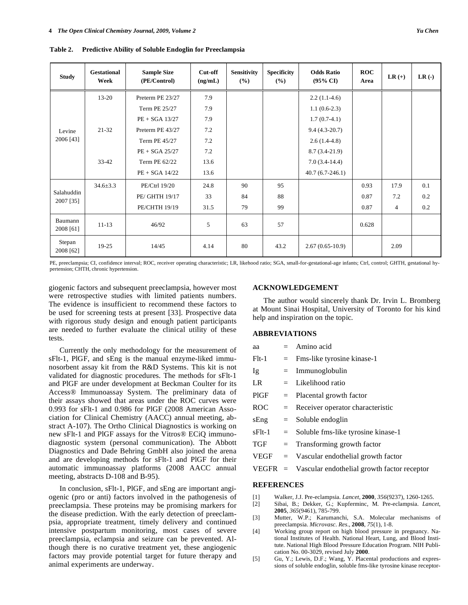| <b>Study</b>            | Gestational<br>Week | <b>Sample Size</b><br>(PE/Control) | Cut-off<br>(ng/mL) | <b>Sensitivity</b><br>(%) | <b>Specificity</b><br>(%) | <b>Odds Ratio</b><br>$(95\% \text{ CI})$ | <b>ROC</b><br>Area | $LR (+)$ | $LR$ (-) |
|-------------------------|---------------------|------------------------------------|--------------------|---------------------------|---------------------------|------------------------------------------|--------------------|----------|----------|
| Levine<br>2006 [43]     | $13 - 20$           | Preterm PE 23/27                   | 7.9                |                           |                           | $2.2(1.1-4.6)$                           |                    |          |          |
|                         |                     | Term PE 25/27                      | 7.9                |                           |                           | $1.1(0.6-2.3)$                           |                    |          |          |
|                         |                     | $PE + SGA$ 13/27                   | 7.9                |                           |                           | $1.7(0.7-4.1)$                           |                    |          |          |
|                         | $21 - 32$           | Preterm PE 43/27                   | 7.2                |                           |                           | $9.4(4.3-20.7)$                          |                    |          |          |
|                         |                     | Term PE 45/27                      | 7.2                |                           |                           | $2.6(1.4-4.8)$                           |                    |          |          |
|                         |                     | $PE + SGA 25/27$                   | 7.2                |                           |                           | $8.7(3.4-21.9)$                          |                    |          |          |
|                         | $33 - 42$           | Term PE 62/22                      | 13.6               |                           |                           | $7.0(3.4-14.4)$                          |                    |          |          |
|                         |                     | $PE + SGA$ 14/22                   | 13.6               |                           |                           | $40.7(6.7-246.1)$                        |                    |          |          |
| Salahuddin<br>2007 [35] | $34.6 \pm 3.3$      | PE/Ctrl 19/20                      | 24.8               | 90                        | 95                        |                                          | 0.93               | 17.9     | 0.1      |
|                         |                     | PE/ GHTH 19/17                     | 33                 | 84                        | 88                        |                                          | 0.87               | 7.2      | 0.2      |
|                         |                     | PE/CHTH 19/19                      | 31.5               | 79                        | 99                        |                                          | 0.87               | 4        | 0.2      |
| Baumann<br>2008 [61]    | $11 - 13$           | 46/92                              | 5                  | 63                        | 57                        |                                          | 0.628              |          |          |
| Stepan<br>2008 [62]     | 19-25               | 14/45                              | 4.14               | 80                        | 43.2                      | $2.67(0.65-10.9)$                        |                    | 2.09     |          |

**Table 2. Predictive Ability of Soluble Endoglin for Preeclampsia** 

PE, preeclampsia; CI, confidence interval; ROC, receiver operating characteristic; LR, likehood ratio; SGA, small-for-gestational-age infants; Ctrl, control; GHTH, gestational hypertension; CHTH, chronic hypertension.

giogenic factors and subsequent preeclampsia, however most were retrospective studies with limited patients numbers. The evidence is insufficient to recommend these factors to be used for screening tests at present [33]. Prospective data with rigorous study design and enough patient participants are needed to further evaluate the clinical utility of these tests.

 Currently the only methodology for the measurement of sFlt-1, PlGF, and sEng is the manual enzyme-liked immunosorbent assay kit from the R&D Systems. This kit is not validated for diagnostic procedures. The methods for sFlt-1 and PlGF are under development at Beckman Coulter for its Access® Immunoassay System. The preliminary data of their assays showed that areas under the ROC curves were 0.993 for sFlt-1 and 0.986 for PlGF (2008 American Association for Clinical Chemistry (AACC) annual meeting, abstract A-107). The Ortho Clinical Diagnostics is working on new sFlt-1 and PlGF assays for the Vitros® ECiQ immunodiagnostic system (personal communication). The Abbott Diagnostics and Dade Behring GmbH also joined the arena and are developing methods for sFlt-1 and PlGF for their automatic immunoassay platforms (2008 AACC annual meeting, abstracts D-108 and B-95).

 In conclusion, sFlt-1, PlGF, and sEng are important angiogenic (pro or anti) factors involved in the pathogenesis of preeclampsia. These proteins may be promising markers for the disease prediction. With the early detection of preeclampsia, appropriate treatment, timely delivery and continued intensive postpartum monitoring, most cases of severe preeclampsia, eclampsia and seizure can be prevented. Although there is no curative treatment yet, these angiogenic factors may provide potential target for future therapy and animal experiments are underway.

#### **ACKNOWLEDGEMENT**

 The author would sincerely thank Dr. Irvin L. Bromberg at Mount Sinai Hospital, University of Toronto for his kind help and inspiration on the topic.

# **ABBREVIATIONS**

| aa                |  | $=$ Amino acid                                        |  |  |
|-------------------|--|-------------------------------------------------------|--|--|
| $F$ lt-1          |  | $=$ Fms-like tyrosine kinase-1                        |  |  |
| Ig                |  | $=$ Immunoglobulin                                    |  |  |
| LR                |  | $=$ Likelihood ratio                                  |  |  |
| PIGF              |  | $=$ Placental growth factor                           |  |  |
| ROC               |  | $=$ Receiver operator characteristic                  |  |  |
| sEng              |  | $=$ Soluble endoglin                                  |  |  |
| sFlt-1            |  | $=$ Soluble fms-like tyrosine kinase-1                |  |  |
| TGF               |  | $=$ Transforming growth factor                        |  |  |
|                   |  | $VEGF = Vascular endothelial growth factor$           |  |  |
|                   |  | $VEGFR$ = Vascular endothelial growth factor receptor |  |  |
| <b>REFERENCES</b> |  |                                                       |  |  |

- [1] Walker, J.J. Pre-eclampsia. *Lancet*, **2000**, *356*(9237), 1260-1265.
- [2] Sibai, B.; Dekker, G.; Kupferminc, M. Pre-eclampsia. *Lancet*, **2005**, *365*(9461), 785-799.
- [3] Mutter, W.P.; Karumanchi, S.A. Molecular mechanisms of preeclampsia. *Microvasc. Res*., **2008**, *75*(1), 1-8.
- [4] Working group report on high blood pressure in pregnancy. National Institutes of Health. National Heart, Lung, and Blood Institute. National High Blood Pressure Education Program. NIH Publication No. 00-3029, revised July **2000**.
- [5] Gu, Y.; Lewis, D.F.; Wang, Y. Placental productions and expressions of soluble endoglin, soluble fms-like tyrosine kinase receptor-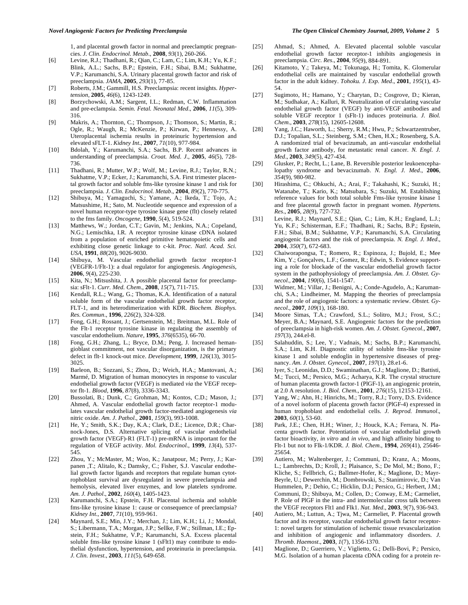1, and placental growth factor in normal and preeclamptic pregnancies. *J. Clin. Endocrinol. Metab*., **2008**, *93*(1), 260-266.

- [6] Levine, R.J.; Thadhani, R.; Qian, C.; Lam, C.; Lim, K.H.; Yu, K.F.; Blink, A.L.; Sachs, B.P.; Epstein, F.H.; Sibai, B.M.; Sukhatme, V.P.; Karumanchi, S.A. Urinary placental growth factor and risk of preeclampsia. *JAMA*, **2005**, *293*(1), 77-85.
- [7] Roberts, J.M.; Gammill, H.S. Preeclampsia: recent insights. *Hypertension*, **2005**, *46*(6), 1243-1249.
- [8] Borzychowski, A.M.; Sargent, I.L.; Redman, C.W. Inflammation and pre-eclampsia. *Semin. Fetal. Neonatal Med*., **2006**, *11*(5), 309- 316.
- [9] Makris, A.; Thornton, C.; Thompson, J.; Thomson, S.; Martin, R.; Ogle, R.; Waugh, R.; McKenzie, P.; Kirwan, P.; Hennessy, A. Uteroplacental ischemia results in proteinuric hypertension and elevated sFLT-1. *Kidney Int*., **2007**, *71*(10), 977-984.
- [10] Bdolah, Y.; Karumanchi, S.A.; Sachs, B.P. Recent advances in understanding of preeclampsia. *Croat. Med. J*., **2005**, *46*(5), 728- 736.
- [11] Thadhani, R.; Mutter, W.P.; Wolf, M.; Levine, R.J.; Taylor, R.N.; Sukhatme, V.P.; Ecker, J.; Karumanchi, S.A. First trimester placental growth factor and soluble fms-like tyrosine kinase 1 and risk for preeclampsia. *J. Clin. Endocrinol. Metab*., **2004**, *89*(2), 770-775.
- [12] Shibuya, M.; Yamaguchi, S.; Yamane, A.; Ikeda, T.; Tojo, A.; Matsushime, H.; Sato, M. Nucleotide sequence and expression of a novel human receptor-type tyrosine kinase gene (flt) closely related to the fms family. *Oncogene*, **1990**, *5*(4), 519-524.
- [13] Matthews, W.; Jordan, C.T.; Gavin, M.; Jenkins, N.A.; Copeland, N.G.; Lemischka, I.R. A receptor tyrosine kinase cDNA isolated from a population of enriched primitive hematopoietic cells and exhibiting close genetic linkage to c-kit. *Proc. Natl. Acad. Sci. USA*, **1991**, *88*(20), 9026-9030.
- [14] Shibuya, M. Vascular endothelial growth factor receptor-1 (VEGFR-1/Flt-1): a dual regulator for angiogenesis. *Angiogenesis*, **2006**, *9*(4), 225-230.
- [15] Kita, N.; Mitsushita, J. A possible placental factor for preeclampsia: sFlt-1. *Curr. Med. Chem*., **2008**, *15*(7), 711-715.
- [16] Kendall, R.L.; Wang, G.; Thomas, K.A. Identification of a natural soluble form of the vascular endothelial growth factor receptor, FLT-1, and its heterodimerization with KDR. *Biochem. Biophys. Res. Commun*., **1996**, *226*(2), 324-328.
- [17] Fong, G.H.; Rossant, J.; Gertsenstein, M.; Breitman, M.L. Role of the Flt-1 receptor tyrosine kinase in regulating the assembly of vascular endothelium. *Nature*, **1995**, *376*(6535), 66-70.
- [18] Fong, G.H.; Zhang, L.; Bryce, D.M.; Peng, J. Increased hemangioblast commitment, not vascular disorganization, is the primary defect in flt-1 knock-out mice. *Development*, **1999**, *126*(13), 3015- 3025.
- [19] Barleon, B.; Sozzani, S.; Zhou, D.; Weich, H.A.; Mantovani, A.; Marmé, D. Migration of human monocytes in response to vascular endothelial growth factor (VEGF) is mediated *via* the VEGF receptor flt-1. *Blood*, **1996**, *87*(8), 3336-3343.
- [20] Bussolati, B.; Dunk, C.; Grohman, M.; Kontos, C.D.; Mason, J.; Ahmed, A. Vascular endothelial growth factor receptor-1 modulates vascular endothelial growth factor-mediated angiogenesis *via*  nitric oxide. *Am. J. Pathol*., **2001**, *159*(3), 993-1008.
- [21] He, Y.; Smith, S.K.; Day, K.A.; Clark, D.E.; Licence, D.R.; Charnock-Jones, D.S. Alternative splicing of vascular endothelial growth factor (VEGF)-R1 (FLT-1) pre-mRNA is important for the regulation of VEGF activity. *Mol. Endocrinol.*, **1999**, *13*(4), 537- 545.
- [22] Zhou, Y.; McMaster, M.; Woo, K.; Janatpour, M.; Perry, J.; Karpanen ,T.; Alitalo, K.; Damsky, C.; Fisher, S.J. Vascular endothelial growth factor ligands and receptors that regulate human cytotrophoblast survival are dysregulated in severe preeclampsia and hemolysis, elevated liver enzymes, and low platelets syndrome. *Am. J. Pathol*., **2002**, *160*(4), 1405-1423.
- [23] Karumanchi, S.A.; Epstein, F.H. Placental ischemia and soluble fms-like tyrosine kinase 1: cause or consequence of preeclampsia? *Kidney Int*., **2007**, *71*(10), 959-961.
- [24] Maynard, S.E.; Min, J.Y.; Merchan, J.; Lim, K.H.; Li, J.; Mondal, S.; Libermann, T.A.; Morgan, J.P.; Sellke, F.W.; Stillman, I.E.; Epstein, F.H.; Sukhatme, V.P.; Karumanchi, S.A. Excess placental soluble fms-like tyrosine kinase 1 (sFlt1) may contribute to endothelial dysfunction, hypertension, and proteinuria in preeclampsia. *J. Clin. Invest*., **2003**, *111*(5), 649-658.
- [25] Ahmad, S.; Ahmed, A. Elevated placental soluble vascular endothelial growth factor receptor-1 inhibits angiogenesis in preeclampsia. *Circ. Res*., **2004**, *95*(9), 884-891.
- [26] Kitamoto, Y.; Takeya, M.; Tokunaga, H.; Tomita, K. Glomerular endothelial cells are maintained by vascular endothelial growth factor in the adult kidney. *Tohoku. J. Exp. Med*., **2001**, *195*(1), 43- 54.
- [27] Sugimoto, H.; Hamano, Y.; Charytan, D.; Cosgrove, D.; Kieran, M.; Sudhakar, A.; Kalluri, R. Neutralization of circulating vascular endothelial growth factor (VEGF) by anti-VEGF antibodies and soluble VEGF receptor 1 (sFlt-1) induces proteinuria. *J. Biol. Chem*., **2003**, *278*(15), 12605-12608.
- [28] Yang, J.C.; Haworth, L.; Sherry, R.M.; Hwu, P.; Schwartzentruber, D.J.; Topalian, S.L.; Steinberg, S.M.; Chen, H.X.; Rosenberg, S.A. A randomized trial of bevacizumab, an anti-vascular endothelial growth factor antibody, for metastatic renal cancer. *N. Engl. J. Med*., **2003**, *349*(5), 427-434.
- [29] Glusker, P.; Recht, L.; Lane, B. Reversible posterior leukoencephalopathy syndrome and bevacizumab. *N. Engl. J. Med*., **2006**, *354*(9), 980-982.
- [30] Hirashima, C.; Ohkuchi, A.; Arai, F.; Takahashi, K.; Suzuki, H.; Watanabe, T.; Kario, K.; Matsubara, S.; Suzuki, M. Establishing reference values for both total soluble Fms-like tyrosine kinase 1 and free placental growth factor in pregnant women. *Hypertens. Res*., **2005**, *28*(9), 727-732.
- [31] Levine, R.J.; Maynard, S.E.; Qian, C.; Lim, K.H.; England, L.J.; Yu, K.F.; Schisterman, E.F.; Thadhani, R.; Sachs, B.P.; Epstein, F.H.; Sibai, B.M.; Sukhatme, V.P.; Karumanchi, S.A. Circulating angiogenic factors and the risk of preeclampsia. *N. Engl. J. Med*., **2004**, *350*(7), 672-683.
- [32] Chaiworapongsa, T.; Romero, R.; Espinoza, J.; Bujold, E.; Mee Kim, Y.; Gonçalves, L.F.; Gomez, R.; Edwin, S. Evidence supporting a role for blockade of the vascular endothelial growth factor system in the pathophysiology of preeclampsia. *Am. J. Obstet. Gynecol*., **2004**, *190*(6), 1541-1547.
- [33] Widmer, M.; Villar, J.; Benigni, A.; Conde-Agudelo, A.; Karumanchi, S.A.; Lindheimer, M. Mapping the theories of preeclampsia and the role of angiogenic factors: a systematic review. *Obstet. Gynecol*., **2007**, *109*(1), 168-180.
- [34] Moore Simas, T.A.; Crawford, S.L.; Solitro, M.J.; Frost, S.C.; Meyer, B.A.; Maynard, S.E. Angiogenic factors for the prediction of preeclampsia in high-risk women. *Am. J. Obstet. Gynecol*., **2007**, *197*(3), 244.el-8.
- [35] Salahuddin, S.; Lee, Y.; Vadnais, M.; Sachs, B.P.; Karumanchi, S.A.; Lim, K.H. Diagnostic utility of soluble fms-like tyrosine kinase 1 and soluble endoglin in hypertensive diseases of pregnancy. *Am. J. Obstet. Gynecol*., **2007**, *197*(1), 28.e1-6.
- [36] Iyer, S.; Leonidas, D.D.; Swaminathan, G.J.; Maglione, D.; Battisti, M.; Tucci, M.; Persico, M.G.; Acharya, K.R. The crystal structure of human placenta growth factor-1 (PlGF-1), an angiogenic protein, at 2.0 A resolution. *J. Biol. Chem*., **2001**, *276*(15), 12153-12161.
- [37] Yang, W.; Ahn, H.; Hinrichs, M.; Torry, R.J.; Torry, D.S. Evidence of a novel isoform of placenta growth factor (PlGF-4) expressed in human trophoblast and endothelial cells. *J. Reprod. Immunol*., **2003**, *60*(1), 53-60.
- [38] Park, J.E.; Chen, H.H.; Winer, J.; Houck, K.A.; Ferrara, N. Placenta growth factor. Potentiation of vascular endothelial growth factor bioactivity, *in vitro* and *in vivo*, and high affinity binding to Flt-1 but not to Flk-1/KDR. *J. Biol. Chem*., **1994**, *269*(41), 25646- 25654.
- [39] Autiero, M.; Waltenberger, J.; Communi, D.; Kranz, A.; Moons, L.; Lambrechts, D.; Kroll, J.; Plaisance, S.; De Mol, M.; Bono, F.; Kliche, S.; Fellbrich, G.; Ballmer-Hofer, K.; Maglione, D.; Mayr-Beyrle, U.; Dewerchin, M.; Dombrowski, S.; Stanimirovic, D.; Van Hummelen, P.; Dehio, C.; Hicklin, D.J.; Persico, G.; Herbert, J.M.; Communi, D.; Shibuya, M.; Collen, D.; Conway, E.M.; Carmeliet, P. Role of PlGF in the intra- and intermolecular cross talk between the VEGF receptors Flt1 and Flk1. *Nat. Med*., **2003**, *9*(7), 936-943.
- [40] Autiero, M.; Luttun, A.; Tjwa, M.; Carmeliet, P. Placental growth factor and its receptor, vascular endothelial growth factor receptor-1: novel targets for stimulation of ischemic tissue revascularization and inhibition of angiogenic and inflammatory disorders. *J. Thromb. Haemost*., **2003**, *1*(7), 1356-1370.
- [41] Maglione, D.; Guerriero, V.; Viglietto, G.; Delli-Bovi, P.; Persico, M.G. Isolation of a human placenta cDNA coding for a protein re-